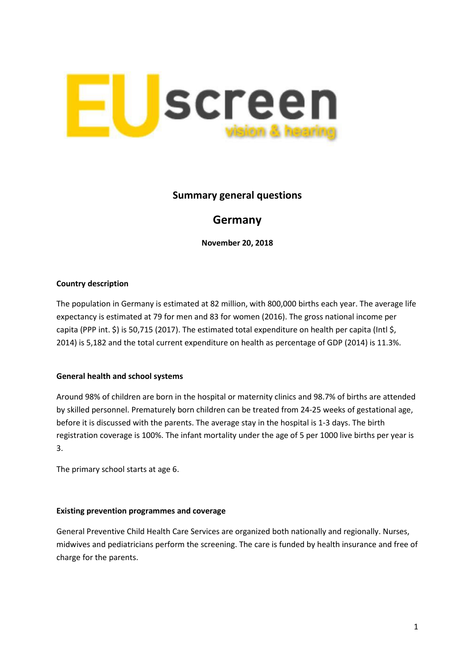

## **Summary general questions**

# **Germany**

**November 20, 2018**

## **Country description**

The population in Germany is estimated at 82 million, with 800,000 births each year. The average life expectancy is estimated at 79 for men and 83 for women (2016). The gross national income per capita (PPP int. \$) is 50,715 (2017). The estimated total expenditure on health per capita (Intl \$, 2014) is 5,182 and the total current expenditure on health as percentage of GDP (2014) is 11.3%.

## **General health and school systems**

Around 98% of children are born in the hospital or maternity clinics and 98.7% of births are attended by skilled personnel. Prematurely born children can be treated from 24-25 weeks of gestational age, before it is discussed with the parents. The average stay in the hospital is 1-3 days. The birth registration coverage is 100%. The infant mortality under the age of 5 per 1000 live births per year is 3.

The primary school starts at age 6.

#### **Existing prevention programmes and coverage**

General Preventive Child Health Care Services are organized both nationally and regionally. Nurses, midwives and pediatricians perform the screening. The care is funded by health insurance and free of charge for the parents.